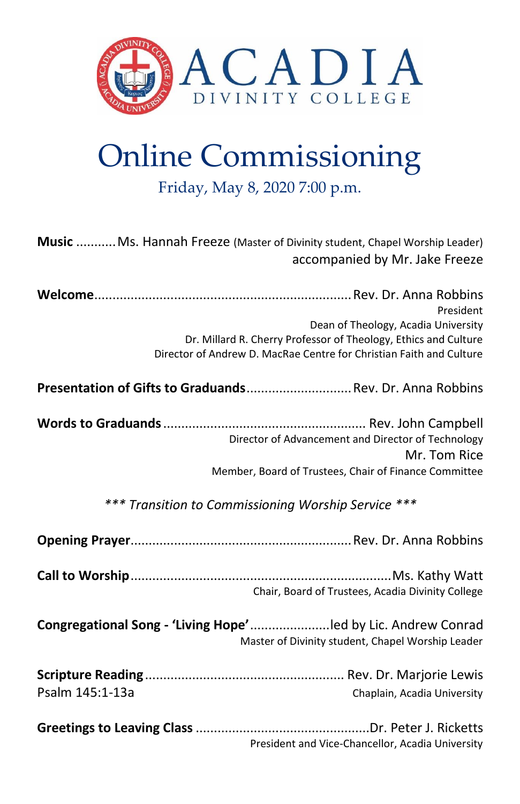

# Online Commissioning

Friday, May 8, 2020 7:00 p.m.

| Music  Ms. Hannah Freeze (Master of Divinity student, Chapel Worship Leader) | accompanied by Mr. Jake Freeze                                                                                                                                                             |
|------------------------------------------------------------------------------|--------------------------------------------------------------------------------------------------------------------------------------------------------------------------------------------|
|                                                                              | President<br>Dean of Theology, Acadia University<br>Dr. Millard R. Cherry Professor of Theology, Ethics and Culture<br>Director of Andrew D. MacRae Centre for Christian Faith and Culture |
| Presentation of Gifts to Graduands Rev. Dr. Anna Robbins                     |                                                                                                                                                                                            |
| *** Transition to Commissioning Worship Service ***                          | Director of Advancement and Director of Technology<br>Mr. Tom Rice<br>Member, Board of Trustees, Chair of Finance Committee                                                                |
|                                                                              |                                                                                                                                                                                            |
|                                                                              | Chair, Board of Trustees, Acadia Divinity College                                                                                                                                          |
| Congregational Song - 'Living Hope' led by Lic. Andrew Conrad                | Master of Divinity student, Chapel Worship Leader                                                                                                                                          |
|                                                                              |                                                                                                                                                                                            |
| Psalm 145:1-13a                                                              | Chaplain, Acadia University                                                                                                                                                                |
|                                                                              | President and Vice-Chancellor, Acadia University                                                                                                                                           |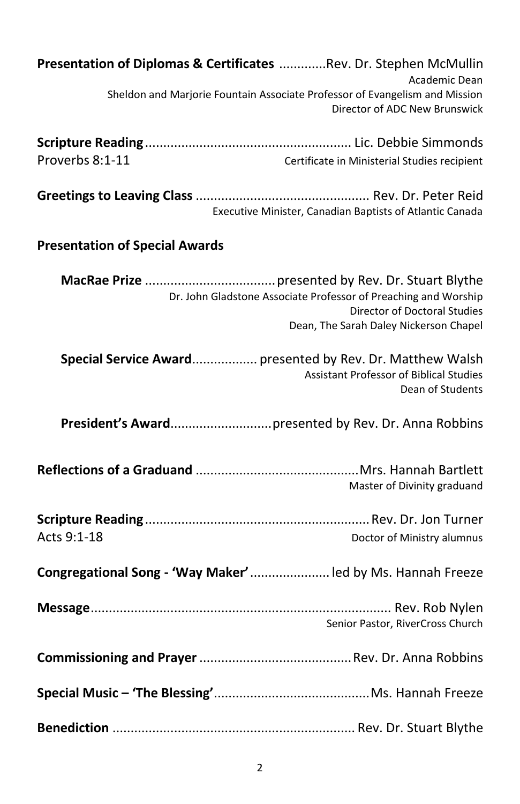| Presentation of Diplomas & Certificates  Rev. Dr. Stephen McMullin                                                                               |
|--------------------------------------------------------------------------------------------------------------------------------------------------|
| Academic Dean<br>Sheldon and Marjorie Fountain Associate Professor of Evangelism and Mission<br>Director of ADC New Brunswick                    |
|                                                                                                                                                  |
| Proverbs 8:1-11<br>Certificate in Ministerial Studies recipient                                                                                  |
| Executive Minister, Canadian Baptists of Atlantic Canada                                                                                         |
| <b>Presentation of Special Awards</b>                                                                                                            |
| Dr. John Gladstone Associate Professor of Preaching and Worship<br><b>Director of Doctoral Studies</b><br>Dean, The Sarah Daley Nickerson Chapel |
| Special Service Award presented by Rev. Dr. Matthew Walsh<br><b>Assistant Professor of Biblical Studies</b><br>Dean of Students                  |
|                                                                                                                                                  |
| Master of Divinity graduand                                                                                                                      |
| Acts 9:1-18<br>Doctor of Ministry alumnus                                                                                                        |
| Congregational Song - 'Way Maker' led by Ms. Hannah Freeze                                                                                       |
| Senior Pastor, RiverCross Church                                                                                                                 |
|                                                                                                                                                  |
|                                                                                                                                                  |
|                                                                                                                                                  |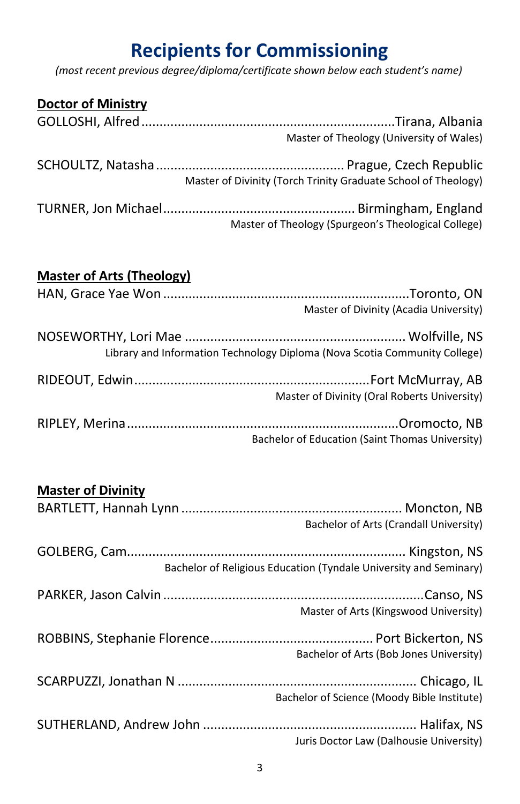## **Recipients for Commissioning**

*(most recent previous degree/diploma/certificate shown below each student's name)*

| <b>Doctor of Ministry</b> |                                                                |
|---------------------------|----------------------------------------------------------------|
|                           |                                                                |
|                           | Master of Theology (University of Wales)                       |
|                           | Master of Divinity (Torch Trinity Graduate School of Theology) |
|                           | Master of Theology (Spurgeon's Theological College)            |

#### **Master of Arts (Theology)**

| Master of Divinity (Acadia University)                                     |
|----------------------------------------------------------------------------|
| Library and Information Technology Diploma (Nova Scotia Community College) |
| Master of Divinity (Oral Roberts University)                               |
| Bachelor of Education (Saint Thomas University)                            |

| <b>Master of Divinity</b> |                                                                   |
|---------------------------|-------------------------------------------------------------------|
|                           |                                                                   |
|                           | Bachelor of Arts (Crandall University)                            |
|                           |                                                                   |
|                           | Bachelor of Religious Education (Tyndale University and Seminary) |
|                           |                                                                   |
|                           | Master of Arts (Kingswood University)                             |
|                           |                                                                   |
|                           | Bachelor of Arts (Bob Jones University)                           |
|                           |                                                                   |
|                           | Bachelor of Science (Moody Bible Institute)                       |
|                           |                                                                   |
|                           | Juris Doctor Law (Dalhousie University)                           |